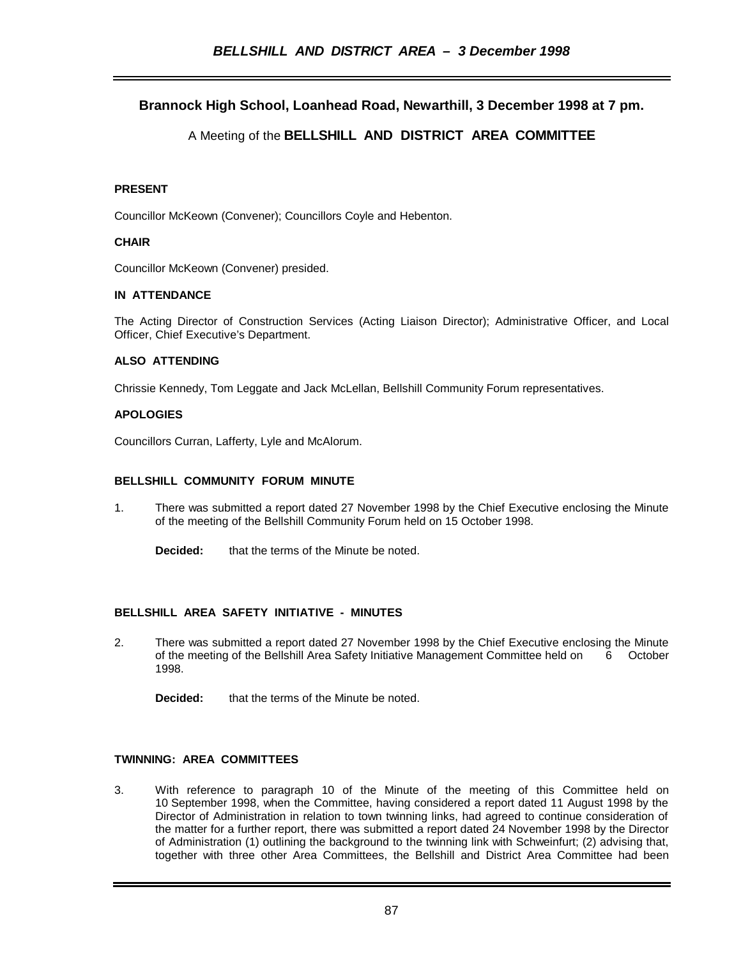# **Brannock High School, Loanhead Road, Newarthill, 3 December 1998 at 7 pm.**

# A Meeting of the **BELLSHILL AND DISTRICT AREA COMMITTEE**

## **PRESENT**

Councillor McKeown (Convener); Councillors Coyle and Hebenton.

## **CHAIR**

Councillor McKeown (Convener) presided.

# **IN ATTENDANCE**

The Acting Director of Construction Services (Acting Liaison Director); Administrative Officer, and Local Officer, Chief Executive's Department.

### **ALSO ATTENDING**

Chrissie Kennedy, Tom Leggate and Jack McLellan, Bellshill Community Forum representatives.

# **APOLOGIES**

Councillors Curran, Lafferty, Lyle and McAlorum.

### **BELLSHILL COMMUNITY FORUM MINUTE**

- 1. There was submitted a report dated 27 November 1998 by the Chief Executive enclosing the Minute of the meeting of the Bellshill Community Forum held on 15 October 1998.
	- **Decided:** that the terms of the Minute be noted.

# **BELLSHILL AREA SAFETY INITIATIVE - MINUTES**

2. There was submitted a report dated 27 November 1998 by the Chief Executive enclosing the Minute of the meeting of the Bellshill Area Safety Initiative Management Committee held on 6 October 1998.

**Decided:** that the terms of the Minute be noted.

## **TWINNING: AREA COMMITTEES**

3. With reference to paragraph 10 of the Minute of the meeting of this Committee held on 10 September 1998, when the Committee, having considered a report dated 11 August 1998 by the Director of Administration in relation to town twinning links, had agreed to continue consideration of the matter for a further report, there was submitted a report dated 24 November 1998 by the Director of Administration (1) outlining the background to the twinning link with Schweinfurt; (2) advising that, together with three other Area Committees, the Bellshill and District Area Committee had been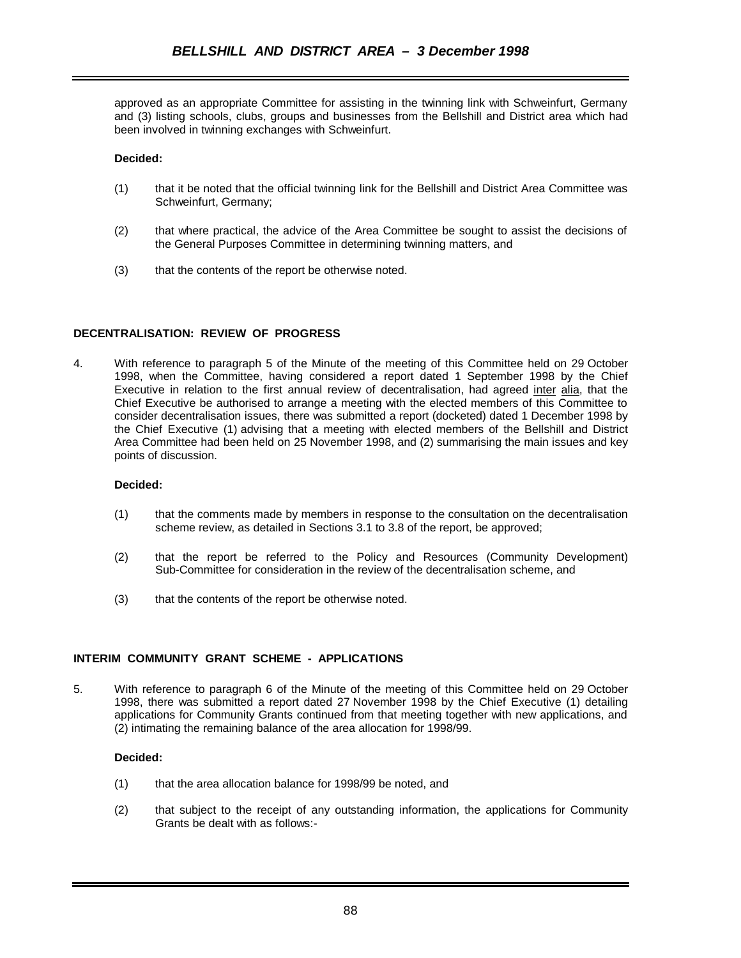approved as an appropriate Committee for assisting in the twinning link with Schweinfurt, Germany and (3) listing schools, clubs, groups and businesses from the Bellshill and District area which had been involved in twinning exchanges with Schweinfurt.

#### **Decided:**

- (1) that it be noted that the official twinning link for the Bellshill and District Area Committee was Schweinfurt, Germany;
- (2) that where practical, the advice of the Area Committee be sought to assist the decisions of the General Purposes Committee in determining twinning matters, and
- (3) that the contents of the report be otherwise noted.

# **DECENTRALISATION: REVIEW OF PROGRESS**

4. With reference to paragraph 5 of the Minute of the meeting of this Committee held on 29 October 1998, when the Committee, having considered a report dated 1 September 1998 by the Chief Executive in relation to the first annual review of decentralisation, had agreed inter alia, that the Chief Executive be authorised to arrange a meeting with the elected members of this Committee to consider decentralisation issues, there was submitted a report (docketed) dated 1 December 1998 by the Chief Executive (1) advising that a meeting with elected members of the Bellshill and District Area Committee had been held on 25 November 1998, and (2) summarising the main issues and key points of discussion.

#### **Decided:**

- (1) that the comments made by members in response to the consultation on the decentralisation scheme review, as detailed in Sections 3.1 to 3.8 of the report, be approved;
- (2) that the report be referred to the Policy and Resources (Community Development) Sub-Committee for consideration in the review of the decentralisation scheme, and
- (3) that the contents of the report be otherwise noted.

### **INTERIM COMMUNITY GRANT SCHEME - APPLICATIONS**

5. With reference to paragraph 6 of the Minute of the meeting of this Committee held on 29 October 1998, there was submitted a report dated 27 November 1998 by the Chief Executive (1) detailing applications for Community Grants continued from that meeting together with new applications, and (2) intimating the remaining balance of the area allocation for 1998/99.

#### **Decided:**

- (1) that the area allocation balance for 1998/99 be noted, and
- (2) that subject to the receipt of any outstanding information, the applications for Community Grants be dealt with as follows:-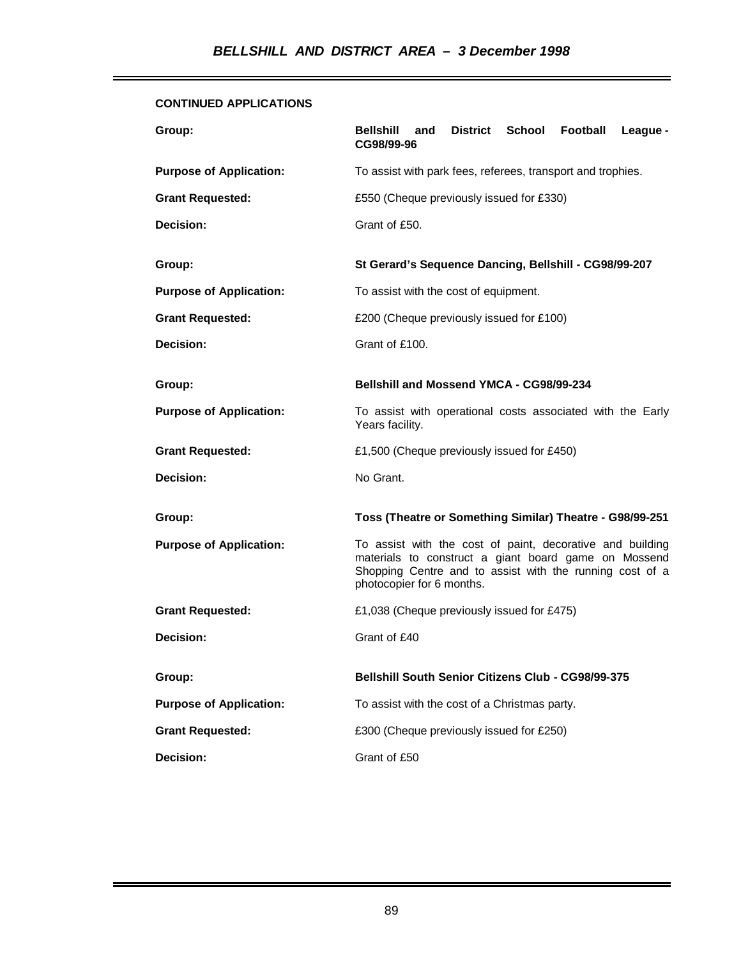# **CONTINUED APPLICATIONS**

| Group:                         | District School<br>Football<br><b>Bellshill</b><br>League -<br>and<br>CG98/99-96                                                                                                                           |
|--------------------------------|------------------------------------------------------------------------------------------------------------------------------------------------------------------------------------------------------------|
| <b>Purpose of Application:</b> | To assist with park fees, referees, transport and trophies.                                                                                                                                                |
| <b>Grant Requested:</b>        | £550 (Cheque previously issued for £330)                                                                                                                                                                   |
| Decision:                      | Grant of £50.                                                                                                                                                                                              |
| Group:                         | St Gerard's Sequence Dancing, Bellshill - CG98/99-207                                                                                                                                                      |
| <b>Purpose of Application:</b> | To assist with the cost of equipment.                                                                                                                                                                      |
| <b>Grant Requested:</b>        | £200 (Cheque previously issued for £100)                                                                                                                                                                   |
| Decision:                      | Grant of £100.                                                                                                                                                                                             |
| Group:                         | Bellshill and Mossend YMCA - CG98/99-234                                                                                                                                                                   |
| <b>Purpose of Application:</b> | To assist with operational costs associated with the Early<br>Years facility.                                                                                                                              |
| <b>Grant Requested:</b>        | £1,500 (Cheque previously issued for £450)                                                                                                                                                                 |
| Decision:                      | No Grant.                                                                                                                                                                                                  |
| Group:                         | Toss (Theatre or Something Similar) Theatre - G98/99-251                                                                                                                                                   |
| <b>Purpose of Application:</b> | To assist with the cost of paint, decorative and building<br>materials to construct a giant board game on Mossend<br>Shopping Centre and to assist with the running cost of a<br>photocopier for 6 months. |
| <b>Grant Requested:</b>        | £1,038 (Cheque previously issued for £475)                                                                                                                                                                 |
| Decision:                      | Grant of £40                                                                                                                                                                                               |
| Group:                         | <b>Bellshill South Senior Citizens Club - CG98/99-375</b>                                                                                                                                                  |
| <b>Purpose of Application:</b> | To assist with the cost of a Christmas party.                                                                                                                                                              |
| <b>Grant Requested:</b>        | £300 (Cheque previously issued for £250)                                                                                                                                                                   |
| <b>Decision:</b>               | Grant of £50                                                                                                                                                                                               |

ī.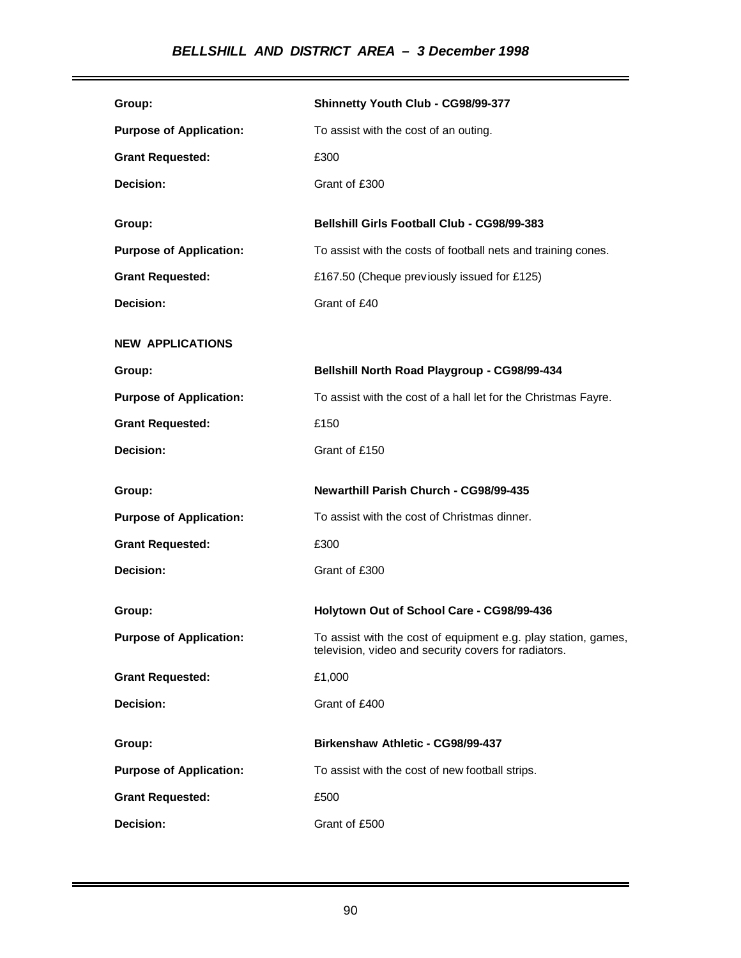# *BELLSHILL AND DISTRICT AREA – 3 December 1998*

| Group:                         | Shinnetty Youth Club - CG98/99-377                                                                                     |
|--------------------------------|------------------------------------------------------------------------------------------------------------------------|
| <b>Purpose of Application:</b> | To assist with the cost of an outing.                                                                                  |
| <b>Grant Requested:</b>        | £300                                                                                                                   |
| Decision:                      | Grant of £300                                                                                                          |
|                                | Bellshill Girls Football Club - CG98/99-383                                                                            |
| Group:                         |                                                                                                                        |
| <b>Purpose of Application:</b> | To assist with the costs of football nets and training cones.                                                          |
| <b>Grant Requested:</b>        | £167.50 (Cheque previously issued for £125)                                                                            |
| Decision:                      | Grant of £40                                                                                                           |
| <b>NEW APPLICATIONS</b>        |                                                                                                                        |
| Group:                         | Bellshill North Road Playgroup - CG98/99-434                                                                           |
| <b>Purpose of Application:</b> | To assist with the cost of a hall let for the Christmas Fayre.                                                         |
| <b>Grant Requested:</b>        | £150                                                                                                                   |
| Decision:                      | Grant of £150                                                                                                          |
|                                |                                                                                                                        |
| Group:                         | Newarthill Parish Church - CG98/99-435                                                                                 |
| <b>Purpose of Application:</b> | To assist with the cost of Christmas dinner.                                                                           |
| <b>Grant Requested:</b>        | £300                                                                                                                   |
| Decision:                      | Grant of £300                                                                                                          |
| Group:                         | Holytown Out of School Care - CG98/99-436                                                                              |
| <b>Purpose of Application:</b> | To assist with the cost of equipment e.g. play station, games,<br>television, video and security covers for radiators. |
| <b>Grant Requested:</b>        | £1,000                                                                                                                 |
| Decision:                      | Grant of £400                                                                                                          |
| Group:                         | Birkenshaw Athletic - CG98/99-437                                                                                      |
| <b>Purpose of Application:</b> | To assist with the cost of new football strips.                                                                        |
| <b>Grant Requested:</b>        | £500                                                                                                                   |

÷.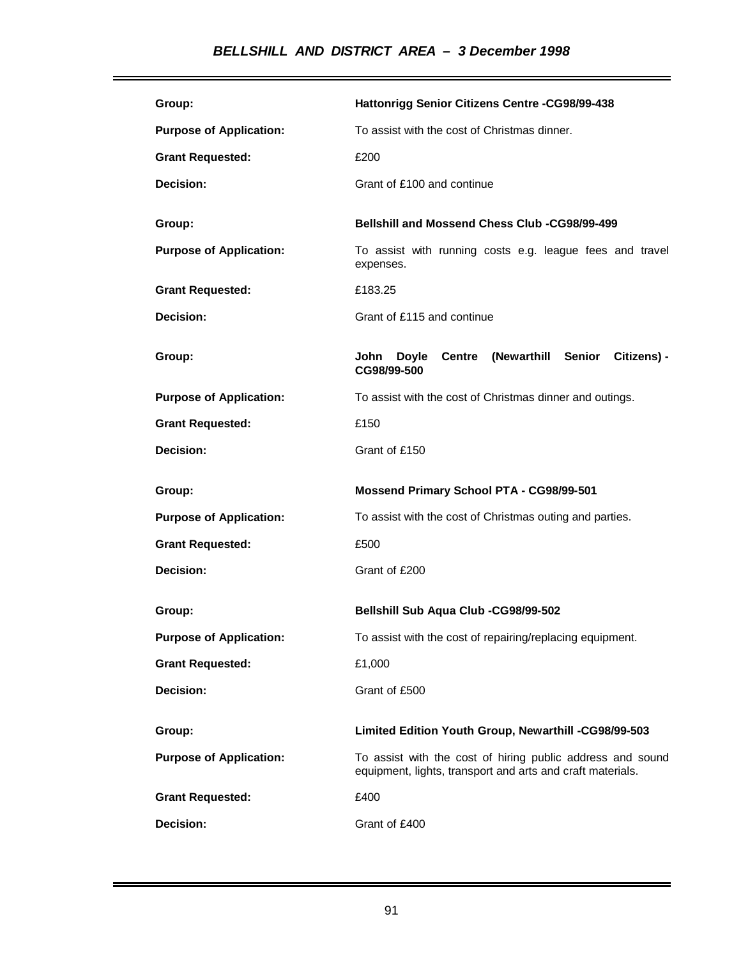| Group:                         | Hattonrigg Senior Citizens Centre -CG98/99-438                                                                           |
|--------------------------------|--------------------------------------------------------------------------------------------------------------------------|
| <b>Purpose of Application:</b> | To assist with the cost of Christmas dinner.                                                                             |
| <b>Grant Requested:</b>        | £200                                                                                                                     |
| Decision:                      | Grant of £100 and continue                                                                                               |
|                                | Bellshill and Mossend Chess Club -CG98/99-499                                                                            |
| Group:                         |                                                                                                                          |
| <b>Purpose of Application:</b> | To assist with running costs e.g. league fees and travel<br>expenses.                                                    |
| <b>Grant Requested:</b>        | £183.25                                                                                                                  |
| Decision:                      | Grant of £115 and continue                                                                                               |
| Group:                         | <b>Centre (Newarthill Senior</b><br>Citizens) -<br>John<br>Doyle<br>CG98/99-500                                          |
| <b>Purpose of Application:</b> | To assist with the cost of Christmas dinner and outings.                                                                 |
| <b>Grant Requested:</b>        | £150                                                                                                                     |
| Decision:                      | Grant of £150                                                                                                            |
| Group:                         | Mossend Primary School PTA - CG98/99-501                                                                                 |
| <b>Purpose of Application:</b> | To assist with the cost of Christmas outing and parties.                                                                 |
| <b>Grant Requested:</b>        | £500                                                                                                                     |
| Decision:                      | Grant of £200                                                                                                            |
|                                |                                                                                                                          |
| Group:                         | Bellshill Sub Aqua Club -CG98/99-502                                                                                     |
| <b>Purpose of Application:</b> | To assist with the cost of repairing/replacing equipment.                                                                |
| <b>Grant Requested:</b>        | £1,000                                                                                                                   |
| Decision:                      | Grant of £500                                                                                                            |
| Group:                         | Limited Edition Youth Group, Newarthill -CG98/99-503                                                                     |
|                                |                                                                                                                          |
| <b>Purpose of Application:</b> | To assist with the cost of hiring public address and sound<br>equipment, lights, transport and arts and craft materials. |
| <b>Grant Requested:</b>        | £400                                                                                                                     |
| Decision:                      | Grant of £400                                                                                                            |

L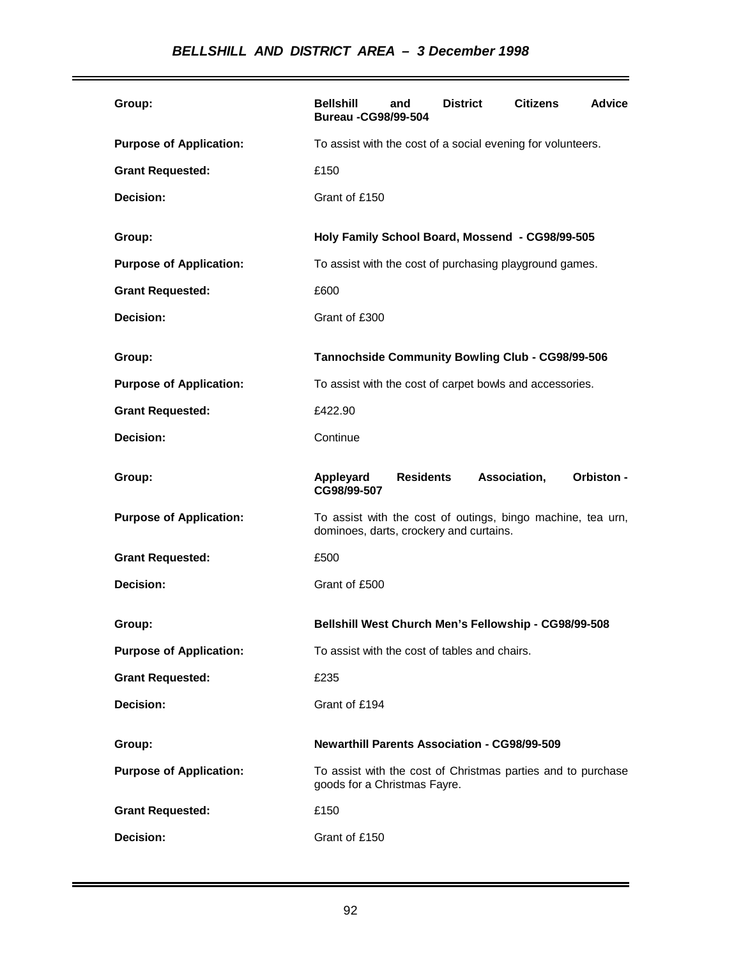| Group:                         | <b>Bellshill</b><br><b>Bureau -CG98/99-504</b>                                                         | and              | <b>District</b> | <b>Citizens</b> | Advice            |
|--------------------------------|--------------------------------------------------------------------------------------------------------|------------------|-----------------|-----------------|-------------------|
| <b>Purpose of Application:</b> | To assist with the cost of a social evening for volunteers.                                            |                  |                 |                 |                   |
| <b>Grant Requested:</b>        | £150                                                                                                   |                  |                 |                 |                   |
| Decision:                      | Grant of £150                                                                                          |                  |                 |                 |                   |
| Group:                         | Holy Family School Board, Mossend - CG98/99-505                                                        |                  |                 |                 |                   |
| <b>Purpose of Application:</b> | To assist with the cost of purchasing playground games.                                                |                  |                 |                 |                   |
| <b>Grant Requested:</b>        | £600                                                                                                   |                  |                 |                 |                   |
| Decision:                      | Grant of £300                                                                                          |                  |                 |                 |                   |
| Group:                         | Tannochside Community Bowling Club - CG98/99-506                                                       |                  |                 |                 |                   |
| <b>Purpose of Application:</b> | To assist with the cost of carpet bowls and accessories.                                               |                  |                 |                 |                   |
| <b>Grant Requested:</b>        | £422.90                                                                                                |                  |                 |                 |                   |
| Decision:                      | Continue                                                                                               |                  |                 |                 |                   |
| Group:                         | Appleyard<br>CG98/99-507                                                                               | <b>Residents</b> |                 | Association,    | <b>Orbiston -</b> |
| <b>Purpose of Application:</b> | To assist with the cost of outings, bingo machine, tea urn,<br>dominoes, darts, crockery and curtains. |                  |                 |                 |                   |
| <b>Grant Requested:</b>        | £500                                                                                                   |                  |                 |                 |                   |
| Decision:                      | Grant of £500                                                                                          |                  |                 |                 |                   |
| Group:                         | Bellshill West Church Men's Fellowship - CG98/99-508                                                   |                  |                 |                 |                   |
| <b>Purpose of Application:</b> | To assist with the cost of tables and chairs.                                                          |                  |                 |                 |                   |
| <b>Grant Requested:</b>        | £235                                                                                                   |                  |                 |                 |                   |
| Decision:                      | Grant of £194                                                                                          |                  |                 |                 |                   |
| Group:                         | <b>Newarthill Parents Association - CG98/99-509</b>                                                    |                  |                 |                 |                   |
| <b>Purpose of Application:</b> | To assist with the cost of Christmas parties and to purchase<br>goods for a Christmas Fayre.           |                  |                 |                 |                   |
| <b>Grant Requested:</b>        | £150                                                                                                   |                  |                 |                 |                   |
| Decision:                      | Grant of £150                                                                                          |                  |                 |                 |                   |

÷.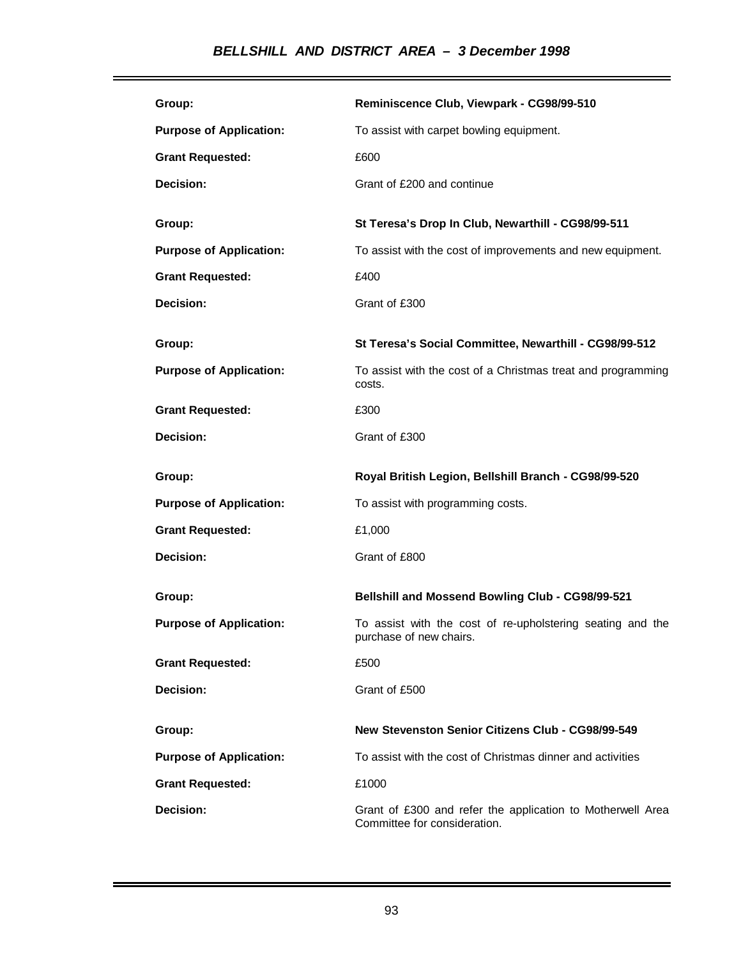# *BELLSHILL AND DISTRICT AREA – 3 December 1998*

| Group:                         | Reminiscence Club, Viewpark - CG98/99-510                                             |
|--------------------------------|---------------------------------------------------------------------------------------|
| <b>Purpose of Application:</b> | To assist with carpet bowling equipment.                                              |
| <b>Grant Requested:</b>        | £600                                                                                  |
| Decision:                      | Grant of £200 and continue                                                            |
|                                |                                                                                       |
| Group:                         | St Teresa's Drop In Club, Newarthill - CG98/99-511                                    |
| <b>Purpose of Application:</b> | To assist with the cost of improvements and new equipment.                            |
| <b>Grant Requested:</b>        | £400                                                                                  |
| Decision:                      | Grant of £300                                                                         |
| Group:                         | St Teresa's Social Committee, Newarthill - CG98/99-512                                |
|                                |                                                                                       |
| <b>Purpose of Application:</b> | To assist with the cost of a Christmas treat and programming<br>costs.                |
| <b>Grant Requested:</b>        | £300                                                                                  |
| Decision:                      | Grant of £300                                                                         |
|                                |                                                                                       |
| Group:                         | Royal British Legion, Bellshill Branch - CG98/99-520                                  |
| <b>Purpose of Application:</b> | To assist with programming costs.                                                     |
| <b>Grant Requested:</b>        | £1,000                                                                                |
| Decision:                      | Grant of £800                                                                         |
| Group:                         | Bellshill and Mossend Bowling Club - CG98/99-521                                      |
| <b>Purpose of Application:</b> | To assist with the cost of re-upholstering seating and the<br>purchase of new chairs. |
| <b>Grant Requested:</b>        | £500                                                                                  |
| Decision:                      | Grant of £500                                                                         |
| Group:                         | New Stevenston Senior Citizens Club - CG98/99-549                                     |
| <b>Purpose of Application:</b> | To assist with the cost of Christmas dinner and activities                            |
| <b>Grant Requested:</b>        | £1000                                                                                 |

L